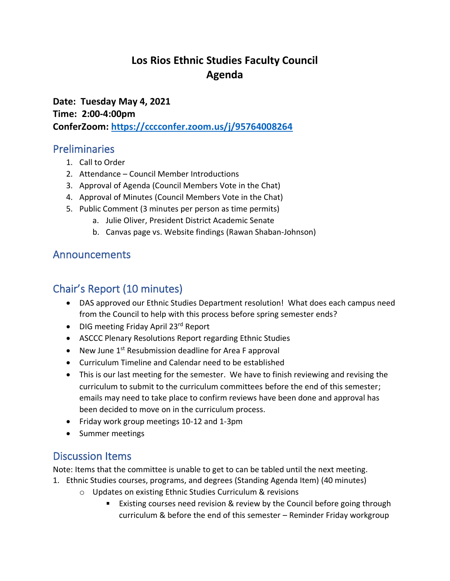# **Los Rios Ethnic Studies Faculty Council Agenda**

**Date: Tuesday May 4, 2021 Time: 2:00-4:00pm ConferZoom: <https://cccconfer.zoom.us/j/95764008264>**

### Preliminaries

- 1. Call to Order
- 2. Attendance Council Member Introductions
- 3. Approval of Agenda (Council Members Vote in the Chat)
- 4. Approval of Minutes (Council Members Vote in the Chat)
- 5. Public Comment (3 minutes per person as time permits)
	- a. Julie Oliver, President District Academic Senate
	- b. Canvas page vs. Website findings (Rawan Shaban-Johnson)

## Announcements

# Chair's Report (10 minutes)

- DAS approved our Ethnic Studies Department resolution! What does each campus need from the Council to help with this process before spring semester ends?
- DIG meeting Friday April 23<sup>rd</sup> Report
- ASCCC Plenary Resolutions Report regarding Ethnic Studies
- New June  $1<sup>st</sup>$  Resubmission deadline for Area F approval
- Curriculum Timeline and Calendar need to be established
- This is our last meeting for the semester. We have to finish reviewing and revising the curriculum to submit to the curriculum committees before the end of this semester; emails may need to take place to confirm reviews have been done and approval has been decided to move on in the curriculum process.
- Friday work group meetings 10-12 and 1-3pm
- Summer meetings

## Discussion Items

Note: Items that the committee is unable to get to can be tabled until the next meeting.

- 1. Ethnic Studies courses, programs, and degrees (Standing Agenda Item) (40 minutes)
	- o Updates on existing Ethnic Studies Curriculum & revisions
		- Existing courses need revision & review by the Council before going through curriculum & before the end of this semester – Reminder Friday workgroup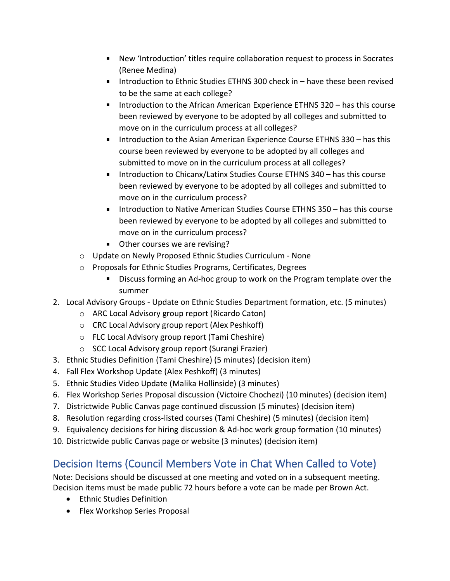- New 'Introduction' titles require collaboration request to process in Socrates  $\mathbf{u}$ (Renee Medina)
- Introduction to Ethnic Studies ETHNS 300 check in have these been revised  $\mathbf{u} = \mathbf{0}$ to be the same at each college?
- $\blacksquare$  . Introduction to the African American Experience ETHNS 320 – has this course been reviewed by everyone to be adopted by all colleges and submitted to move on in the curriculum process at all colleges?
- Introduction to the Asian American Experience Course ETHNS 330 has this  $\mathbf{u}$ course been reviewed by everyone to be adopted by all colleges and submitted to move on in the curriculum process at all colleges?
- Introduction to Chicanx/Latinx Studies Course ETHNS 340 has this course  $\mathbf{u}$  . been reviewed by everyone to be adopted by all colleges and submitted to move on in the curriculum process?
- Introduction to Native American Studies Course ETHNS 350 has this course been reviewed by everyone to be adopted by all colleges and submitted to move on in the curriculum process?
- **Other courses we are revising?**
- o Update on Newly Proposed Ethnic Studies Curriculum None
- o Proposals for Ethnic Studies Programs, Certificates, Degrees
	- Discuss forming an Ad-hoc group to work on the Program template over the summer
- 2. Local Advisory Groups Update on Ethnic Studies Department formation, etc. (5 minutes)
	- o ARC Local Advisory group report (Ricardo Caton)
	- o CRC Local Advisory group report (Alex Peshkoff)
	- o FLC Local Advisory group report (Tami Cheshire)
	- o SCC Local Advisory group report (Surangi Frazier)
- 3. Ethnic Studies Definition (Tami Cheshire) (5 minutes) (decision item)
- 4. Fall Flex Workshop Update (Alex Peshkoff) (3 minutes)
- 5. Ethnic Studies Video Update (Malika Hollinside) (3 minutes)
- 6. Flex Workshop Series Proposal discussion (Victoire Chochezi) (10 minutes) (decision item)
- 7. Districtwide Public Canvas page continued discussion (5 minutes) (decision item)
- 8. Resolution regarding cross-listed courses (Tami Cheshire) (5 minutes) (decision item)
- 9. Equivalency decisions for hiring discussion & Ad-hoc work group formation (10 minutes)
- 10. Districtwide public Canvas page or website (3 minutes) (decision item)

# Decision Items (Council Members Vote in Chat When Called to Vote)

Note: Decisions should be discussed at one meeting and voted on in a subsequent meeting. Decision items must be made public 72 hours before a vote can be made per Brown Act.

- Ethnic Studies Definition
- Flex Workshop Series Proposal